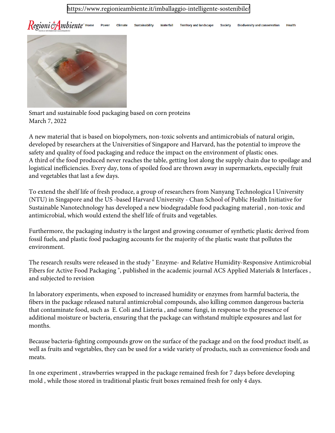

Smart and sustainable food packaging based on corn proteins March 7, 2022

A new material that is based on biopolymers, non-toxic solvents and antimicrobials of natural origin, developed by researchers at the Universities of Singapore and Harvard, has the potential to improve the safety and quality of food packaging and reduce the impact on the environment of plastic ones. A third of the food produced never reaches the table, getting lost along the supply chain due to spoilage and logistical inefficiencies. Every day, tons of spoiled food are thrown away in supermarkets, especially fruit and vegetables that last a few days.

To extend the shelf life of fresh produce, a group of researchers from Nanyang Technologica l University (NTU) in Singapore and the US -based Harvard University - Chan School of Public Health Initiative for Sustainable Nanotechnology has developed a new biodegradable food packaging material , non-toxic and antimicrobial, which would extend the shelf life of fruits and vegetables.

Furthermore, the packaging industry is the largest and growing consumer of synthetic plastic derived from fossil fuels, and plastic food packaging accounts for the majority of the plastic waste that pollutes the environment.

The research results were released in the study " Enzyme- and Relative Humidity-Responsive Antimicrobial Fibers for Active Food Packaging ", published in the academic journal ACS Applied Materials & Interfaces , and subjected to revision

In laboratory experiments, when exposed to increased humidity or enzymes from harmful bacteria, the fibers in the package released natural antimicrobial compounds, also killing common dangerous bacteria that contaminate food, such as E. Coli and Listeria , and some fungi, in response to the presence of additional moisture or bacteria, ensuring that the package can withstand multiple exposures and last for months.

Because bacteria-fighting compounds grow on the surface of the package and on the food product itself, as well as fruits and vegetables, they can be used for a wide variety of products, such as convenience foods and meats.

In one experiment , strawberries wrapped in the package remained fresh for 7 days before developing mold , while those stored in traditional plastic fruit boxes remained fresh for only 4 days.